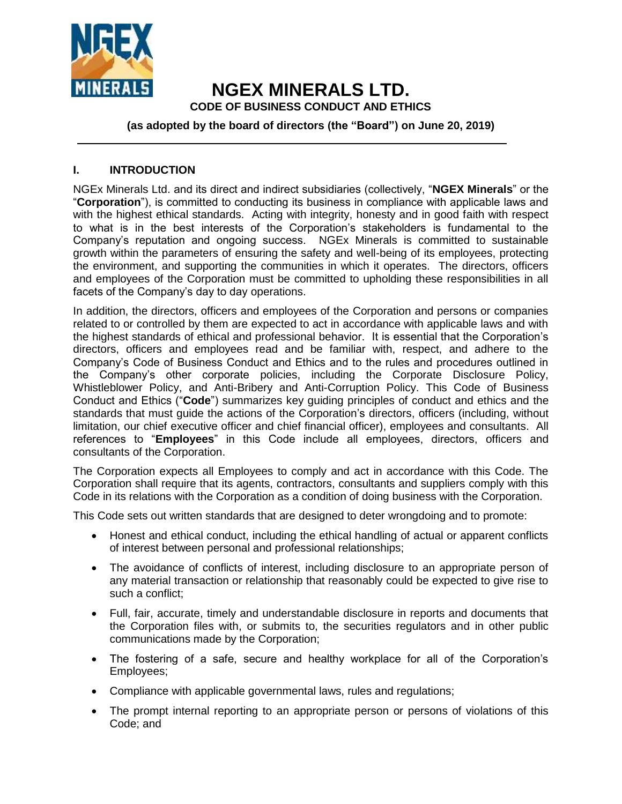

# **NGEX MINERALS LTD. CODE OF BUSINESS CONDUCT AND ETHICS**

#### **(as adopted by the board of directors (the "Board") on June 20, 2019)**

#### **I. INTRODUCTION**

NGEx Minerals Ltd. and its direct and indirect subsidiaries (collectively, "**NGEX Minerals**" or the "**Corporation**"), is committed to conducting its business in compliance with applicable laws and with the highest ethical standards. Acting with integrity, honesty and in good faith with respect to what is in the best interests of the Corporation's stakeholders is fundamental to the Company's reputation and ongoing success. NGEx Minerals is committed to sustainable growth within the parameters of ensuring the safety and well-being of its employees, protecting the environment, and supporting the communities in which it operates. The directors, officers and employees of the Corporation must be committed to upholding these responsibilities in all facets of the Company's day to day operations.

In addition, the directors, officers and employees of the Corporation and persons or companies related to or controlled by them are expected to act in accordance with applicable laws and with the highest standards of ethical and professional behavior. It is essential that the Corporation's directors, officers and employees read and be familiar with, respect, and adhere to the Company's Code of Business Conduct and Ethics and to the rules and procedures outlined in the Company's other corporate policies, including the Corporate Disclosure Policy, Whistleblower Policy, and Anti-Bribery and Anti-Corruption Policy. This Code of Business Conduct and Ethics ("**Code**") summarizes key guiding principles of conduct and ethics and the standards that must guide the actions of the Corporation's directors, officers (including, without limitation, our chief executive officer and chief financial officer), employees and consultants. All references to "**Employees**" in this Code include all employees, directors, officers and consultants of the Corporation.

The Corporation expects all Employees to comply and act in accordance with this Code. The Corporation shall require that its agents, contractors, consultants and suppliers comply with this Code in its relations with the Corporation as a condition of doing business with the Corporation.

This Code sets out written standards that are designed to deter wrongdoing and to promote:

- Honest and ethical conduct, including the ethical handling of actual or apparent conflicts of interest between personal and professional relationships;
- The avoidance of conflicts of interest, including disclosure to an appropriate person of any material transaction or relationship that reasonably could be expected to give rise to such a conflict;
- Full, fair, accurate, timely and understandable disclosure in reports and documents that the Corporation files with, or submits to, the securities regulators and in other public communications made by the Corporation;
- The fostering of a safe, secure and healthy workplace for all of the Corporation's Employees;
- Compliance with applicable governmental laws, rules and regulations;
- The prompt internal reporting to an appropriate person or persons of violations of this Code; and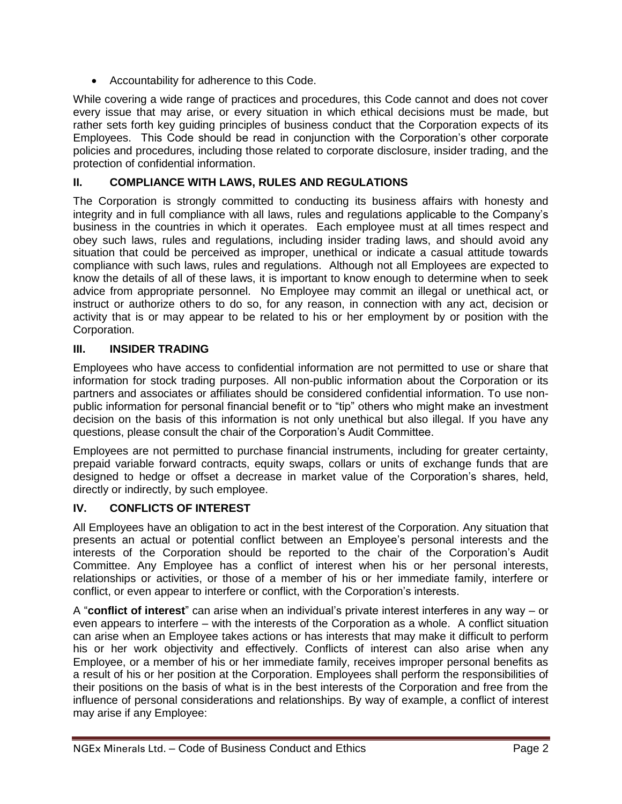• Accountability for adherence to this Code.

While covering a wide range of practices and procedures, this Code cannot and does not cover every issue that may arise, or every situation in which ethical decisions must be made, but rather sets forth key guiding principles of business conduct that the Corporation expects of its Employees. This Code should be read in conjunction with the Corporation's other corporate policies and procedures, including those related to corporate disclosure, insider trading, and the protection of confidential information.

# **II. COMPLIANCE WITH LAWS, RULES AND REGULATIONS**

The Corporation is strongly committed to conducting its business affairs with honesty and integrity and in full compliance with all laws, rules and regulations applicable to the Company's business in the countries in which it operates. Each employee must at all times respect and obey such laws, rules and regulations, including insider trading laws, and should avoid any situation that could be perceived as improper, unethical or indicate a casual attitude towards compliance with such laws, rules and regulations. Although not all Employees are expected to know the details of all of these laws, it is important to know enough to determine when to seek advice from appropriate personnel. No Employee may commit an illegal or unethical act, or instruct or authorize others to do so, for any reason, in connection with any act, decision or activity that is or may appear to be related to his or her employment by or position with the Corporation.

## **III. INSIDER TRADING**

Employees who have access to confidential information are not permitted to use or share that information for stock trading purposes. All non-public information about the Corporation or its partners and associates or affiliates should be considered confidential information. To use nonpublic information for personal financial benefit or to "tip" others who might make an investment decision on the basis of this information is not only unethical but also illegal. If you have any questions, please consult the chair of the Corporation's Audit Committee.

Employees are not permitted to purchase financial instruments, including for greater certainty, prepaid variable forward contracts, equity swaps, collars or units of exchange funds that are designed to hedge or offset a decrease in market value of the Corporation's shares, held, directly or indirectly, by such employee.

## **IV. CONFLICTS OF INTEREST**

All Employees have an obligation to act in the best interest of the Corporation. Any situation that presents an actual or potential conflict between an Employee's personal interests and the interests of the Corporation should be reported to the chair of the Corporation's Audit Committee. Any Employee has a conflict of interest when his or her personal interests, relationships or activities, or those of a member of his or her immediate family, interfere or conflict, or even appear to interfere or conflict, with the Corporation's interests.

A "**conflict of interest**" can arise when an individual's private interest interferes in any way – or even appears to interfere – with the interests of the Corporation as a whole. A conflict situation can arise when an Employee takes actions or has interests that may make it difficult to perform his or her work objectivity and effectively. Conflicts of interest can also arise when any Employee, or a member of his or her immediate family, receives improper personal benefits as a result of his or her position at the Corporation. Employees shall perform the responsibilities of their positions on the basis of what is in the best interests of the Corporation and free from the influence of personal considerations and relationships. By way of example, a conflict of interest may arise if any Employee: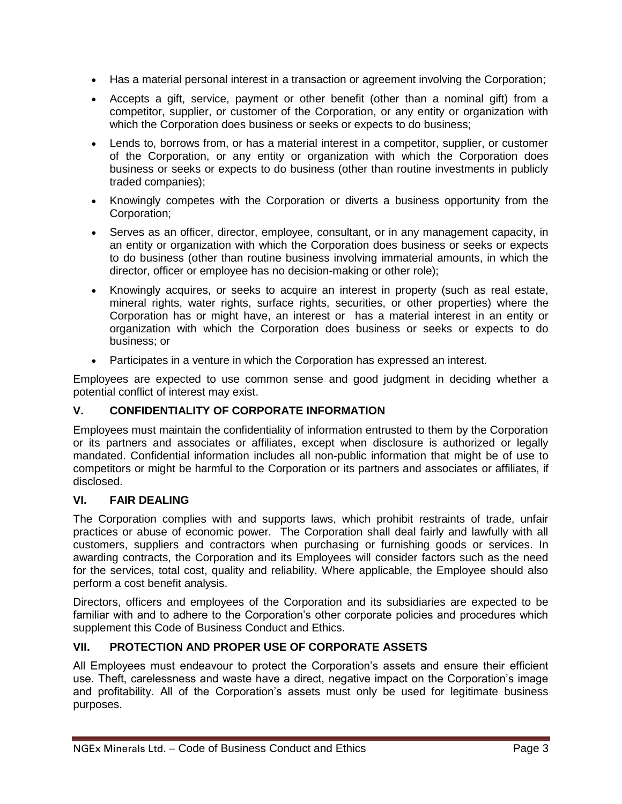- Has a material personal interest in a transaction or agreement involving the Corporation;
- Accepts a gift, service, payment or other benefit (other than a nominal gift) from a competitor, supplier, or customer of the Corporation, or any entity or organization with which the Corporation does business or seeks or expects to do business;
- Lends to, borrows from, or has a material interest in a competitor, supplier, or customer of the Corporation, or any entity or organization with which the Corporation does business or seeks or expects to do business (other than routine investments in publicly traded companies);
- Knowingly competes with the Corporation or diverts a business opportunity from the Corporation;
- Serves as an officer, director, employee, consultant, or in any management capacity, in an entity or organization with which the Corporation does business or seeks or expects to do business (other than routine business involving immaterial amounts, in which the director, officer or employee has no decision-making or other role);
- Knowingly acquires, or seeks to acquire an interest in property (such as real estate, mineral rights, water rights, surface rights, securities, or other properties) where the Corporation has or might have, an interest or has a material interest in an entity or organization with which the Corporation does business or seeks or expects to do business; or
- Participates in a venture in which the Corporation has expressed an interest.

Employees are expected to use common sense and good judgment in deciding whether a potential conflict of interest may exist.

## **V. CONFIDENTIALITY OF CORPORATE INFORMATION**

Employees must maintain the confidentiality of information entrusted to them by the Corporation or its partners and associates or affiliates, except when disclosure is authorized or legally mandated. Confidential information includes all non-public information that might be of use to competitors or might be harmful to the Corporation or its partners and associates or affiliates, if disclosed.

#### **VI. FAIR DEALING**

The Corporation complies with and supports laws, which prohibit restraints of trade, unfair practices or abuse of economic power. The Corporation shall deal fairly and lawfully with all customers, suppliers and contractors when purchasing or furnishing goods or services. In awarding contracts, the Corporation and its Employees will consider factors such as the need for the services, total cost, quality and reliability. Where applicable, the Employee should also perform a cost benefit analysis.

Directors, officers and employees of the Corporation and its subsidiaries are expected to be familiar with and to adhere to the Corporation's other corporate policies and procedures which supplement this Code of Business Conduct and Ethics.

## **VII. PROTECTION AND PROPER USE OF CORPORATE ASSETS**

All Employees must endeavour to protect the Corporation's assets and ensure their efficient use. Theft, carelessness and waste have a direct, negative impact on the Corporation's image and profitability. All of the Corporation's assets must only be used for legitimate business purposes.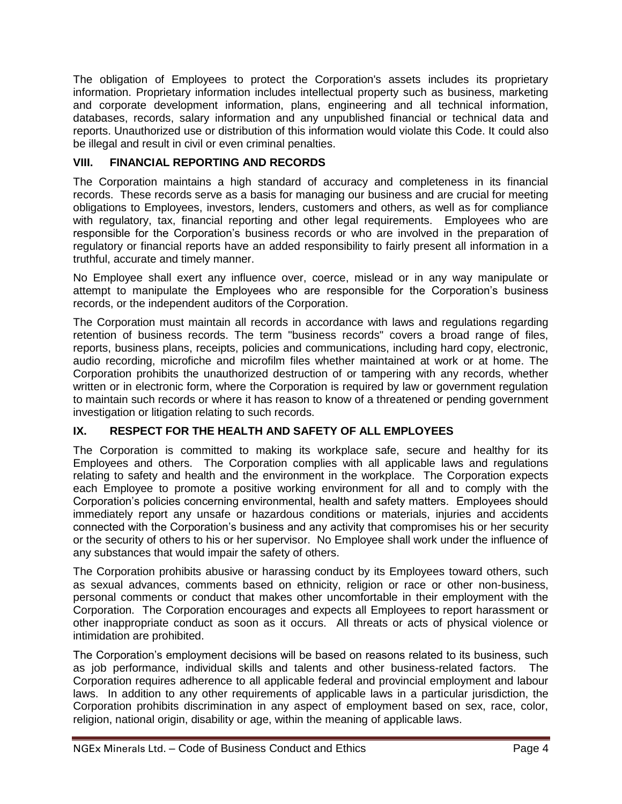The obligation of Employees to protect the Corporation's assets includes its proprietary information. Proprietary information includes intellectual property such as business, marketing and corporate development information, plans, engineering and all technical information, databases, records, salary information and any unpublished financial or technical data and reports. Unauthorized use or distribution of this information would violate this Code. It could also be illegal and result in civil or even criminal penalties.

#### **VIII. FINANCIAL REPORTING AND RECORDS**

The Corporation maintains a high standard of accuracy and completeness in its financial records. These records serve as a basis for managing our business and are crucial for meeting obligations to Employees, investors, lenders, customers and others, as well as for compliance with regulatory, tax, financial reporting and other legal requirements. Employees who are responsible for the Corporation's business records or who are involved in the preparation of regulatory or financial reports have an added responsibility to fairly present all information in a truthful, accurate and timely manner.

No Employee shall exert any influence over, coerce, mislead or in any way manipulate or attempt to manipulate the Employees who are responsible for the Corporation's business records, or the independent auditors of the Corporation.

The Corporation must maintain all records in accordance with laws and regulations regarding retention of business records. The term "business records" covers a broad range of files, reports, business plans, receipts, policies and communications, including hard copy, electronic, audio recording, microfiche and microfilm files whether maintained at work or at home. The Corporation prohibits the unauthorized destruction of or tampering with any records, whether written or in electronic form, where the Corporation is required by law or government regulation to maintain such records or where it has reason to know of a threatened or pending government investigation or litigation relating to such records.

## **IX. RESPECT FOR THE HEALTH AND SAFETY OF ALL EMPLOYEES**

The Corporation is committed to making its workplace safe, secure and healthy for its Employees and others. The Corporation complies with all applicable laws and regulations relating to safety and health and the environment in the workplace. The Corporation expects each Employee to promote a positive working environment for all and to comply with the Corporation's policies concerning environmental, health and safety matters. Employees should immediately report any unsafe or hazardous conditions or materials, injuries and accidents connected with the Corporation's business and any activity that compromises his or her security or the security of others to his or her supervisor. No Employee shall work under the influence of any substances that would impair the safety of others.

The Corporation prohibits abusive or harassing conduct by its Employees toward others, such as sexual advances, comments based on ethnicity, religion or race or other non-business, personal comments or conduct that makes other uncomfortable in their employment with the Corporation. The Corporation encourages and expects all Employees to report harassment or other inappropriate conduct as soon as it occurs. All threats or acts of physical violence or intimidation are prohibited.

The Corporation's employment decisions will be based on reasons related to its business, such as job performance, individual skills and talents and other business-related factors. The Corporation requires adherence to all applicable federal and provincial employment and labour laws. In addition to any other requirements of applicable laws in a particular jurisdiction, the Corporation prohibits discrimination in any aspect of employment based on sex, race, color, religion, national origin, disability or age, within the meaning of applicable laws.